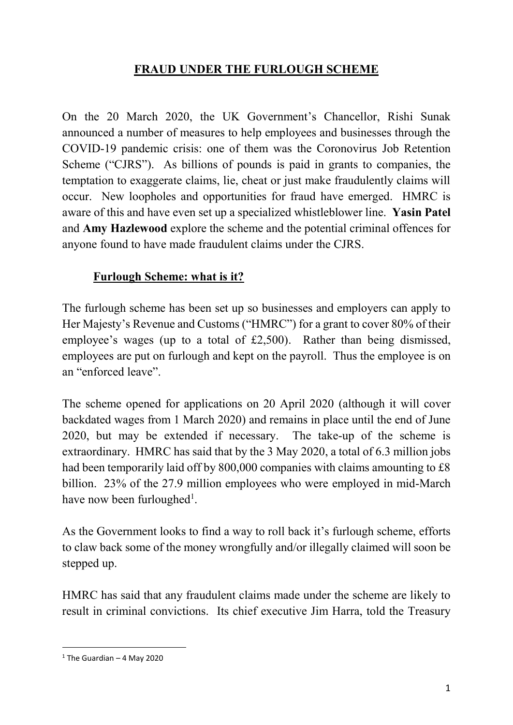# **FRAUD UNDER THE FURLOUGH SCHEME**

On the 20 March 2020, the UK Government's Chancellor, Rishi Sunak announced a number of measures to help employees and businesses through the COVID-19 pandemic crisis: one of them was the Coronovirus Job Retention Scheme ("CJRS"). As billions of pounds is paid in grants to companies, the temptation to exaggerate claims, lie, cheat or just make fraudulently claims will occur. New loopholes and opportunities for fraud have emerged. HMRC is aware of this and have even set up a specialized whistleblower line. **Yasin Patel** and **Amy Hazlewood** explore the scheme and the potential criminal offences for anyone found to have made fraudulent claims under the CJRS.

#### **Furlough Scheme: what is it?**

The furlough scheme has been set up so businesses and employers can apply to Her Majesty's Revenue and Customs ("HMRC") for a grant to cover 80% of their employee's wages (up to a total of £2,500). Rather than being dismissed, employees are put on furlough and kept on the payroll. Thus the employee is on an "enforced leave".

The scheme opened for applications on 20 April 2020 (although it will cover backdated wages from 1 March 2020) and remains in place until the end of June 2020, but may be extended if necessary. The take-up of the scheme is extraordinary. HMRC has said that by the 3 May 2020, a total of 6.3 million jobs had been temporarily laid off by 800,000 companies with claims amounting to £8 billion. 23% of the 27.9 million employees who were employed in mid-March have now been furloughed<sup>1</sup>.

As the Government looks to find a way to roll back it's furlough scheme, efforts to claw back some of the money wrongfully and/or illegally claimed will soon be stepped up.

HMRC has said that any fraudulent claims made under the scheme are likely to result in criminal convictions. Its chief executive Jim Harra, told the Treasury

 $1$  The Guardian – 4 May 2020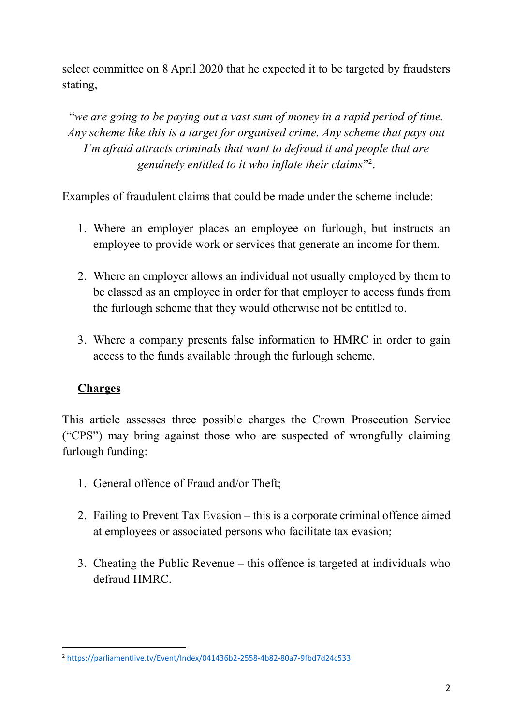select committee on 8 April 2020 that he expected it to be targeted by fraudsters stating,

³*we are going to be paying out a vast sum of money in a rapid period of time. Any scheme like this is a target for organised crime. Any scheme that pays out I'm afraid attracts criminals that want to defraud it and people that are* genuinely entitled to it who inflate their claims"<sup>2</sup>.

Examples of fraudulent claims that could be made under the scheme include:

- 1. Where an employer places an employee on furlough, but instructs an employee to provide work or services that generate an income for them.
- 2. Where an employer allows an individual not usually employed by them to be classed as an employee in order for that employer to access funds from the furlough scheme that they would otherwise not be entitled to.
- 3. Where a company presents false information to HMRC in order to gain access to the funds available through the furlough scheme.

# **Charges**

This article assesses three possible charges the Crown Prosecution Service ("CPS") may bring against those who are suspected of wrongfully claiming furlough funding:

- 1. General offence of Fraud and/or Theft;
- 2. Failing to Prevent Tax Evasion  $-\text{ this is a corporate criminal office aimed}$ at employees or associated persons who facilitate tax evasion;
- 3. Cheating the Public Revenue  $-$  this offence is targeted at individuals who defraud HMRC.

 <sup>2</sup> https://parliamentlive.tv/Event/Index/041436b2-2558-4b82-80a7-9fbd7d24c533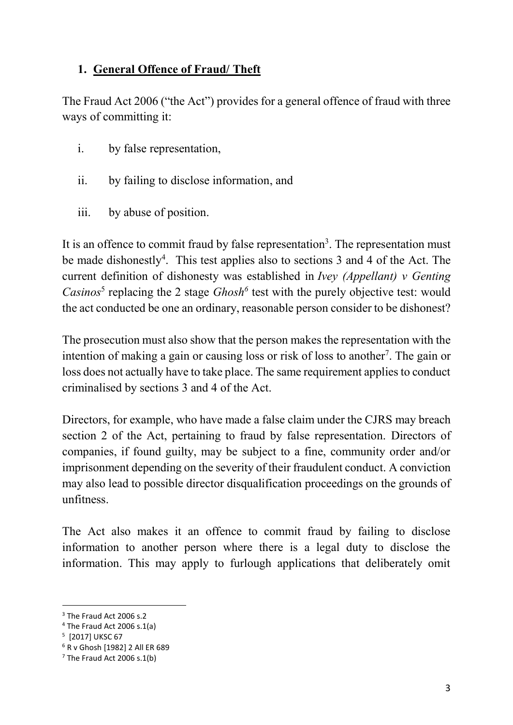### **1. General Offence of Fraud/ Theft**

The Fraud Act 2006 ("the Act") provides for a general offence of fraud with three ways of committing it:

- i. by false representation,
- ii. by failing to disclose information, and
- iii. by abuse of position.

It is an offence to commit fraud by false representation<sup>3</sup>. The representation must be made dishonestly<sup>4</sup>. This test applies also to sections 3 and 4 of the Act. The current definition of dishonesty was established in *Ivey (Appellant) v Genting Casinos*<sup>5</sup> replacing the 2 stage *Ghosh*<sup>6</sup> test with the purely objective test: would the act conducted be one an ordinary, reasonable person consider to be dishonest?

The prosecution must also show that the person makes the representation with the intention of making a gain or causing loss or risk of loss to another<sup>7</sup>. The gain or loss does not actually have to take place. The same requirement applies to conduct criminalised by sections 3 and 4 of the Act.

Directors, for example, who have made a false claim under the CJRS may breach section 2 of the Act, pertaining to fraud by false representation. Directors of companies, if found guilty, may be subject to a fine, community order and/or imprisonment depending on the severity of their fraudulent conduct. A conviction may also lead to possible director disqualification proceedings on the grounds of unfitness.

The Act also makes it an offence to commit fraud by failing to disclose information to another person where there is a legal duty to disclose the information. This may apply to furlough applications that deliberately omit

<sup>&</sup>lt;sup>3</sup> The Fraud Act 2006 s.2

<sup>4</sup> The Fraud Act 2006 s.1(a)

<sup>5</sup> [2017] UKSC 67

<sup>6</sup> R v Ghosh [1982] 2 All ER 689

 $7$  The Fraud Act 2006 s.1(b)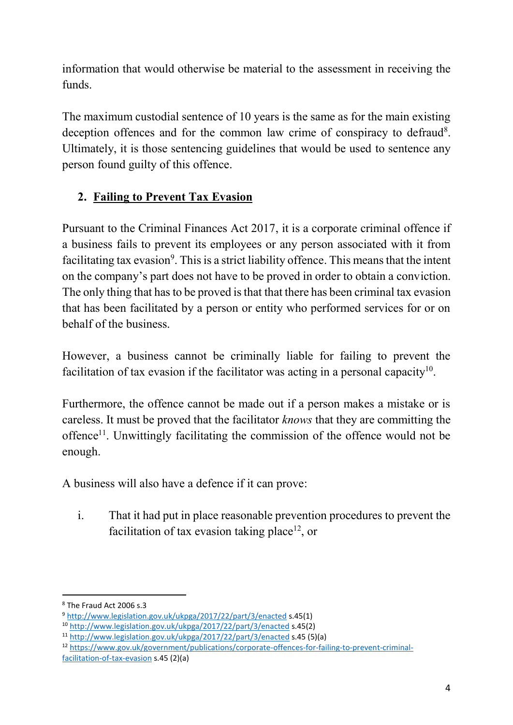information that would otherwise be material to the assessment in receiving the funds.

The maximum custodial sentence of 10 years is the same as for the main existing deception offences and for the common law crime of conspiracy to defraud<sup>8</sup>. Ultimately, it is those sentencing guidelines that would be used to sentence any person found guilty of this offence.

# **2. Failing to Prevent Tax Evasion**

Pursuant to the Criminal Finances Act 2017, it is a corporate criminal offence if a business fails to prevent its employees or any person associated with it from facilitating tax evasion<sup>9</sup>. This is a strict liability offence. This means that the intent on the company's part does not have to be proved in order to obtain a conviction. The only thing that has to be proved is that that there has been criminal tax evasion that has been facilitated by a person or entity who performed services for or on behalf of the business.

However, a business cannot be criminally liable for failing to prevent the facilitation of tax evasion if the facilitator was acting in a personal capacity<sup>10</sup>.

Furthermore, the offence cannot be made out if a person makes a mistake or is careless. It must be proved that the facilitator *knows* that they are committing the offence<sup>11</sup>. Unwittingly facilitating the commission of the offence would not be enough.

A business will also have a defence if it can prove:

i. That it had put in place reasonable prevention procedures to prevent the facilitation of tax evasion taking place<sup>12</sup>, or

 <sup>8</sup> The Fraud Act 2006 s.3

<sup>9</sup> http://www.legislation.gov.uk/ukpga/2017/22/part/3/enacted s.45(1)

<sup>10</sup> http://www.legislation.gov.uk/ukpga/2017/22/part/3/enacted s.45(2)

<sup>11</sup> http://www.legislation.gov.uk/ukpga/2017/22/part/3/enacted s.45 (5)(a)

<sup>12</sup> https://www.gov.uk/government/publications/corporate-offences-for-failing-to-prevent-criminalfacilitation-of-tax-evasion s.45 (2)(a)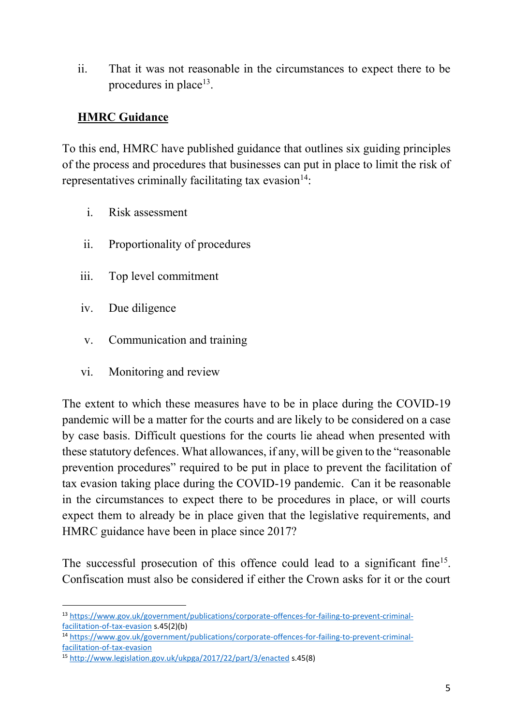ii. That it was not reasonable in the circumstances to expect there to be procedures in place<sup>13</sup>.

### **HMRC Guidance**

To this end, HMRC have published guidance that outlines six guiding principles of the process and procedures that businesses can put in place to limit the risk of representatives criminally facilitating tax evasion $14$ :

- i. Risk assessment
- ii. Proportionality of procedures
- iii. Top level commitment
- iv. Due diligence
- v. Communication and training
- vi. Monitoring and review

The extent to which these measures have to be in place during the COVID-19 pandemic will be a matter for the courts and are likely to be considered on a case by case basis. Difficult questions for the courts lie ahead when presented with these statutory defences. What allowances, if any, will be given to the "reasonable" prevention procedures" required to be put in place to prevent the facilitation of tax evasion taking place during the COVID-19 pandemic. Can it be reasonable in the circumstances to expect there to be procedures in place, or will courts expect them to already be in place given that the legislative requirements, and HMRC guidance have been in place since 2017?

The successful prosecution of this offence could lead to a significant fine<sup>15</sup>. Confiscation must also be considered if either the Crown asks for it or the court

 <sup>13</sup> https://www.gov.uk/government/publications/corporate-offences-for-failing-to-prevent-criminalfacilitation-of-tax-evasion s.45(2)(b)

<sup>14</sup> https://www.gov.uk/government/publications/corporate-offences-for-failing-to-prevent-criminalfacilitation-of-tax-evasion

<sup>15</sup> http://www.legislation.gov.uk/ukpga/2017/22/part/3/enacted s.45(8)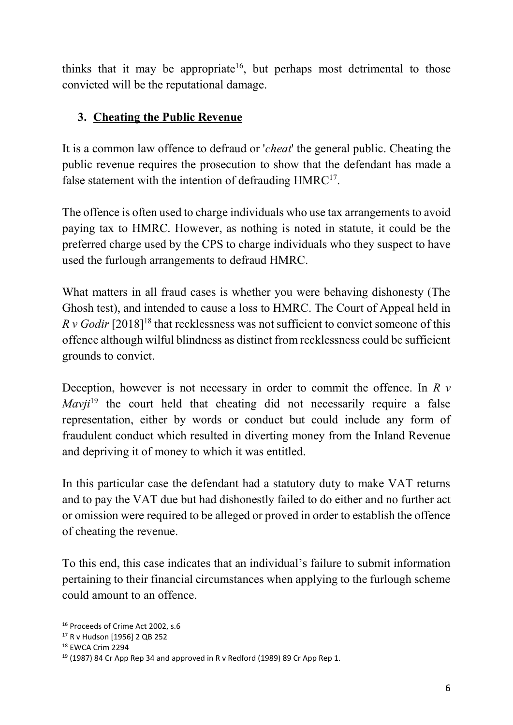thinks that it may be appropriate<sup>16</sup>, but perhaps most detrimental to those convicted will be the reputational damage.

# **3. Cheating the Public Revenue**

It is a common law offence to defraud or '*cheat*' the general public. Cheating the public revenue requires the prosecution to show that the defendant has made a false statement with the intention of defrauding  $HMRC^{17}$ .

The offence is often used to charge individuals who use tax arrangements to avoid paying tax to HMRC. However, as nothing is noted in statute, it could be the preferred charge used by the CPS to charge individuals who they suspect to have used the furlough arrangements to defraud HMRC.

What matters in all fraud cases is whether you were behaving dishonesty (The Ghosh test), and intended to cause a loss to HMRC. The Court of Appeal held in *R v Godir* [2018]<sup>18</sup> that recklessness was not sufficient to convict someone of this offence although wilful blindness as distinct from recklessness could be sufficient grounds to convict.

Deception, however is not necessary in order to commit the offence. In *R v Mavil*<sup>19</sup> the court held that cheating did not necessarily require a false representation, either by words or conduct but could include any form of fraudulent conduct which resulted in diverting money from the Inland Revenue and depriving it of money to which it was entitled.

In this particular case the defendant had a statutory duty to make VAT returns and to pay the VAT due but had dishonestly failed to do either and no further act or omission were required to be alleged or proved in order to establish the offence of cheating the revenue.

To this end, this case indicates that an individual's failure to submit information pertaining to their financial circumstances when applying to the furlough scheme could amount to an offence.

 <sup>16</sup> Proceeds of Crime Act 2002, s.6

<sup>17</sup> R v Hudson [1956] 2 QB 252

<sup>18</sup> EWCA Crim 2294

 $19$  (1987) 84 Cr App Rep 34 and approved in R v Redford (1989) 89 Cr App Rep 1.